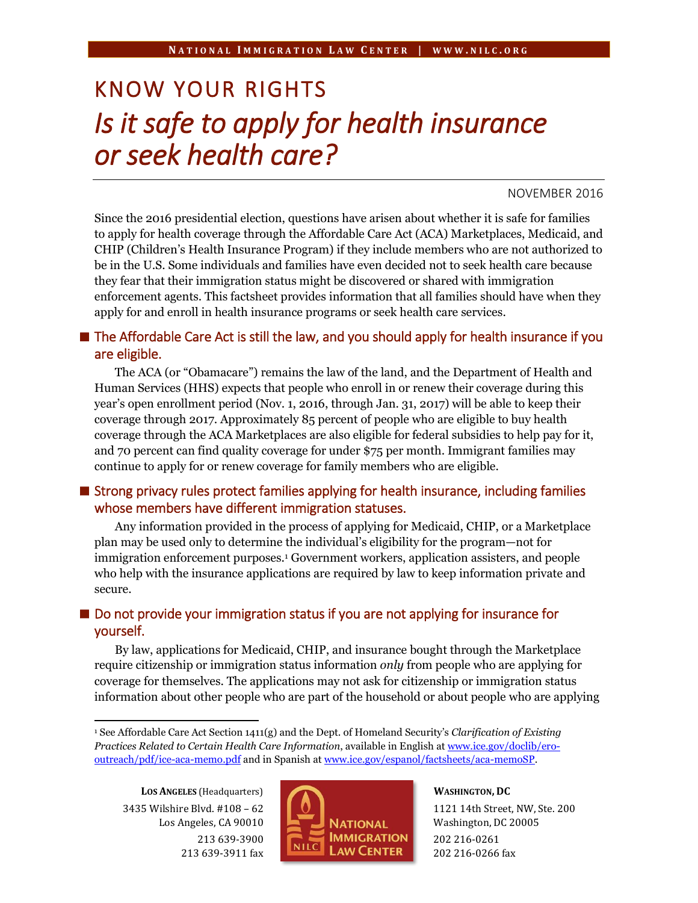# KNOW YOUR RIGHTS *Is it safe to apply for health insurance or seek health care?*

#### NOVEMBER 2016

Since the 2016 presidential election, questions have arisen about whether it is safe for families to apply for health coverage through the Affordable Care Act (ACA) Marketplaces, Medicaid, and CHIP (Children's Health Insurance Program) if they include members who are not authorized to be in the U.S. Some individuals and families have even decided not to seek health care because they fear that their immigration status might be discovered or shared with immigration enforcement agents. This factsheet provides information that all families should have when they apply for and enroll in health insurance programs or seek health care services.

## $\blacksquare$  The Affordable Care Act is still the law, and you should apply for health insurance if you are eligible.

The ACA (or "Obamacare") remains the law of the land, and the Department of Health and Human Services (HHS) expects that people who enroll in or renew their coverage during this year's open enrollment period (Nov. 1, 2016, through Jan. 31, 2017) will be able to keep their coverage through 2017. Approximately 85 percent of people who are eligible to buy health coverage through the ACA Marketplaces are also eligible for federal subsidies to help pay for it, and 70 percent can find quality coverage for under \$75 per month. Immigrant families may continue to apply for or renew coverage for family members who are eligible.

#### $\blacksquare$  Strong privacy rules protect families applying for health insurance, including families whose members have different immigration statuses.

Any information provided in the process of applying for Medicaid, CHIP, or a Marketplace plan may be used only to determine the individual's eligibility for the program—not for immigration enforcement purposes.<sup>1</sup> Government workers, application assisters, and people who help with the insurance applications are required by law to keep information private and secure.

## ■ Do not provide your immigration status if you are not applying for insurance for yourself.

By law, applications for Medicaid, CHIP, and insurance bought through the Marketplace require citizenship or immigration status information *only* from people who are applying for coverage for themselves. The applications may not ask for citizenship or immigration status information about other people who are part of the household or about people who are applying

**LOS ANGELES** (Headquarters) 3435 Wilshire Blvd. #108 – 62 Los Angeles, CA 90010 213 639-3900 213 639-3911 fax

 $\ddot{\phantom{a}}$ 



# **WASHINGTON, DC**

1121 14th Street, NW, Ste. 200 Washington, DC 20005 202 216-0261 202 216-0266 fax

<sup>1</sup> See Affordable Care Act Section 1411(g) and the Dept. of Homeland Security's *Clarification of Existing Practices Related to Certain Health Care Information*, available in English at [www.ice.gov/doclib/ero](http://www.ice.gov/doclib/ero-outreach/pdf/ice-aca-memo.pdf)[outreach/pdf/ice-aca-memo.pdf](http://www.ice.gov/doclib/ero-outreach/pdf/ice-aca-memo.pdf) and in Spanish a[t www.ice.gov/espanol/factsheets/aca-memoSP.](http://www.ice.gov/espanol/factsheets/aca-memoSP)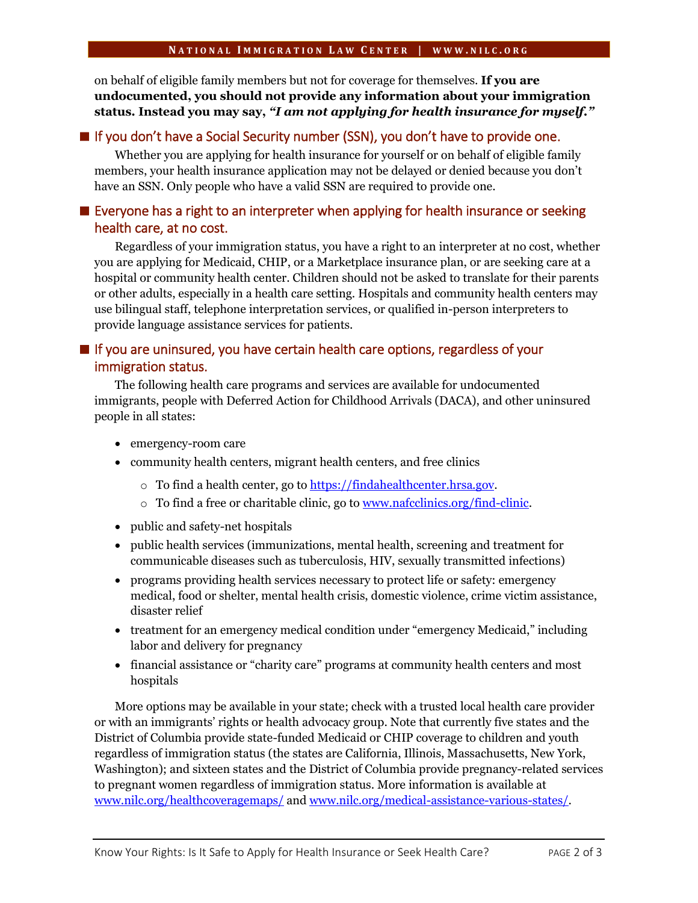on behalf of eligible family members but not for coverage for themselves. **If you are undocumented, you should not provide any information about your immigration status. Instead you may say,** *"I am not applying for health insurance for myself."*

#### ■ If you don't have a Social Security number (SSN), you don't have to provide one.

Whether you are applying for health insurance for yourself or on behalf of eligible family members, your health insurance application may not be delayed or denied because you don't have an SSN. Only people who have a valid SSN are required to provide one.

# Everyone has a right to an interpreter when applying for health insurance or seeking health care, at no cost.

Regardless of your immigration status, you have a right to an interpreter at no cost, whether you are applying for Medicaid, CHIP, or a Marketplace insurance plan, or are seeking care at a hospital or community health center. Children should not be asked to translate for their parents or other adults, especially in a health care setting. Hospitals and community health centers may use bilingual staff, telephone interpretation services, or qualified in-person interpreters to provide language assistance services for patients.

# If you are uninsured, you have certain health care options, regardless of your immigration status.

The following health care programs and services are available for undocumented immigrants, people with Deferred Action for Childhood Arrivals (DACA), and other uninsured people in all states:

- emergency-room care
- community health centers, migrant health centers, and free clinics
	- o To find a health center, go to [https://findahealthcenter.hrsa.gov.](https://findahealthcenter.hrsa.gov/)
	- o To find a free or charitable clinic, go to [www.nafcclinics.org/find-clinic.](http://www.nafcclinics.org/find-clinic)
- public and safety-net hospitals
- public health services (immunizations, mental health, screening and treatment for communicable diseases such as tuberculosis, HIV, sexually transmitted infections)
- programs providing health services necessary to protect life or safety: emergency medical, food or shelter, mental health crisis, domestic violence, crime victim assistance, disaster relief
- treatment for an emergency medical condition under "emergency Medicaid," including labor and delivery for pregnancy
- financial assistance or "charity care" programs at community health centers and most hospitals

More options may be available in your state; check with a trusted local health care provider or with an immigrants' rights or health advocacy group. Note that currently five states and the District of Columbia provide state-funded Medicaid or CHIP coverage to children and youth regardless of immigration status (the states are California, Illinois, Massachusetts, New York, Washington); and sixteen states and the District of Columbia provide pregnancy-related services to pregnant women regardless of immigration status. More information is available at [www.nilc.org/healthcoveragemaps/](http://www.nilc.org/healthcoveragemaps/) an[d www.nilc.org/medical-assistance-various-states/.](http://www.nilc.org/medical-assistance-various-states/)